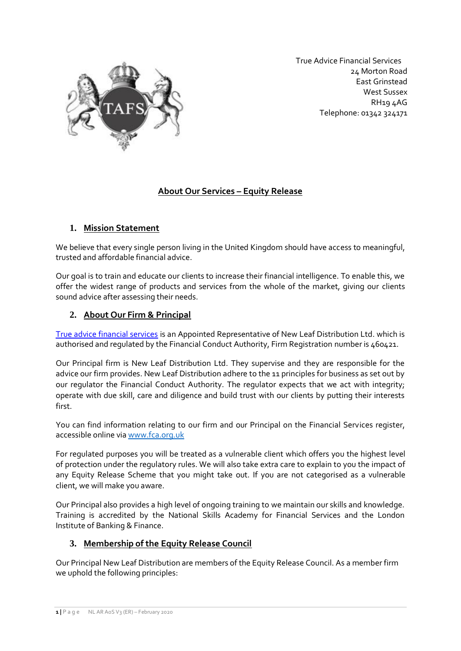

 True Advice Financial Services 24 Morton Road East Grinstead West Sussex RH19 4AG Telephone: 01342 324171

# **About Our Services – Equity Release**

## **1. Mission Statement**

We believe that every single person living in the United Kingdom should have access to meaningful, trusted and affordable financial advice.

Our goal is to train and educate our clients to increase their financial intelligence. To enable this, we offer the widest range of products and services from the whole of the market, giving our clients sound advice after assessing their needs.

## **2. About Our Firm & Principal**

[True advice financial services](https://trueadvicefinancialservices.co.uk/) is an Appointed Representative of New Leaf Distribution Ltd. which is authorised and regulated by the Financial Conduct Authority, Firm Registration number is 460421.

Our Principal firm is New Leaf Distribution Ltd. They supervise and they are responsible for the advice our firm provides. New Leaf Distribution adhere to the 11 principles for business as set out by our regulator the Financial Conduct Authority. The regulator expects that we act with integrity; operate with due skill, care and diligence and build trust with our clients by putting their interests first.

You can find information relating to our firm and our Principal on the Financial Services register, accessible online via www.fca.org.uk

For regulated purposes you will be treated as a vulnerable client which offers you the highest level of protection under the regulatory rules. We will also take extra care to explain to you the impact of any Equity Release Scheme that you might take out. If you are not categorised as a vulnerable client, we will make you aware.

Our Principal also provides a high level of ongoing training to we maintain our skills and knowledge. Training is accredited by the National Skills Academy for Financial Services and the London Institute of Banking & Finance.

## **3. Membership of the Equity Release Council**

Our Principal New Leaf Distribution are members of the Equity Release Council. As a member firm we uphold the following principles: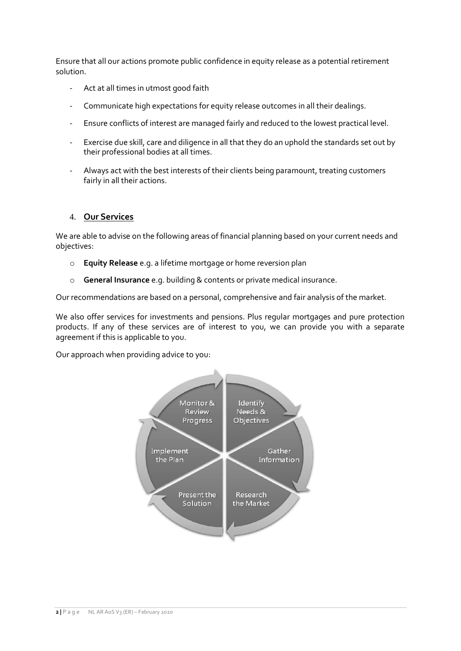Ensure that all our actions promote public confidence in equity release as a potential retirement solution.

- Act at all times in utmost good faith
- Communicate high expectations for equity release outcomes in all their dealings.
- Ensure conflicts of interest are managed fairly and reduced to the lowest practical level.
- Exercise due skill, care and diligence in all that they do an uphold the standards set out by their professional bodies at all times.
- Always act with the best interests of their clients being paramount, treating customers fairly in all their actions.

#### 4. **Our Services**

We are able to advise on the following areas of financial planning based on your current needs and objectives:

- o **Equity Release** e.g. a lifetime mortgage or home reversion plan
- o **General Insurance** e.g. building & contents or private medical insurance.

Our recommendations are based on a personal, comprehensive and fair analysis of the market.

We also offer services for investments and pensions. Plus regular mortgages and pure protection products. If any of these services are of interest to you, we can provide you with a separate agreement if this is applicable to you.

Our approach when providing advice to you:

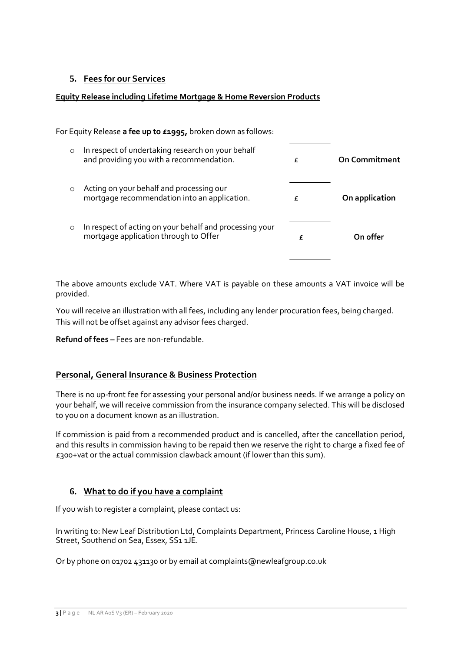## **5. Fees for our Services**

#### **Equity Release including Lifetime Mortgage & Home Reversion Products**

For Equity Release **a fee up to £1995,** broken down as follows:

o In respect of undertaking research on your behalf and providing you with a recommendation. o Acting on your behalf and processing our mortgage recommendation into an application. o In respect of acting on your behalf and processing your mortgage application through to Offer £ **On Commitment** £ **On application £ On offer**

The above amounts exclude VAT. Where VAT is payable on these amounts a VAT invoice will be provided.

You will receive an illustration with all fees, including any lender procuration fees, being charged. This will not be offset against any advisor fees charged.

**Refund of fees –** Fees are non-refundable.

## **Personal, General Insurance & Business Protection**

There is no up-front fee for assessing your personal and/or business needs. If we arrange a policy on your behalf, we will receive commission from the insurance company selected. This will be disclosed to you on a document known as an illustration.

If commission is paid from a recommended product and is cancelled, after the cancellation period, and this results in commission having to be repaid then we reserve the right to charge a fixed fee of £300+vat or the actual commission clawback amount (if lower than this sum).

## **6. What to do if you have a complaint**

If you wish to register a complaint, please contact us:

In writing to: New Leaf Distribution Ltd, Complaints Department, Princess Caroline House, 1 High Street, Southend on Sea, Essex, SS1 1JE.

Or by phone on 01702 431130 or by email at complaints@newleafgroup.co.uk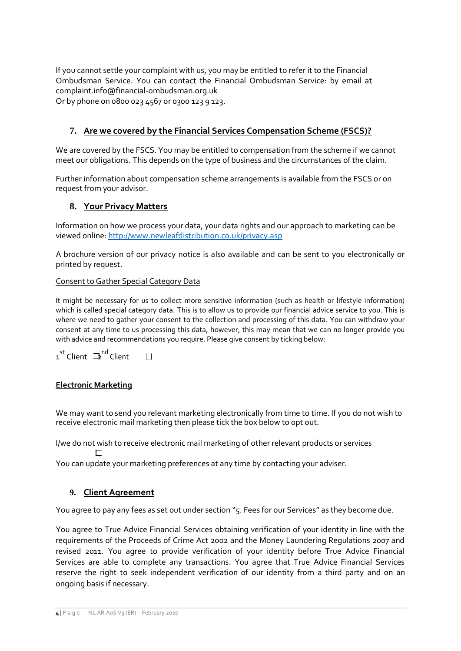If you cannot settle your complaint with us, you may be entitled to refer it to the Financial Ombudsman Service. You can contact the Financial Ombudsman Service: by email at complaint.info@financial-ombudsman.org.uk Or by phone on 0800 023 4567 or 0300 123 9 123.

# **7. Are we covered by the Financial Services Compensation Scheme (FSCS)?**

We are covered by the FSCS. You may be entitled to compensation from the scheme if we cannot meet our obligations. This depends on the type of business and the circumstances of the claim.

Further information about compensation scheme arrangements is available from the FSCS or on request from your advisor.

## **8. Your Privacy Matters**

Information on how we process your data, your data rights and our approach to marketing can be viewed online: http://www.newleafdistribution.co.uk/privacy.asp

A brochure version of our privacy notice is also available and can be sent to you electronically or printed by request.

#### Consent to Gather Special Category Data

It might be necessary for us to collect more sensitive information (such as health or lifestyle information) which is called special category data. This is to allow us to provide our financial advice service to you. This is where we need to gather your consent to the collection and processing of this data. You can withdraw your consent at any time to us processing this data, however, this may mean that we can no longer provide you with advice and recommendations you require. Please give consent by ticking below:

1<sup>st</sup> Client  $\, \mathbf{\Xi}^{\mathsf{nd}}$  Client  $\Box$ 

#### **Electronic Marketing**

We may want to send you relevant marketing electronically from time to time. If you do not wish to receive electronic mail marketing then please tick the box below to opt out.

I/we do not wish to receive electronic mail marketing of other relevant products or services  $\Box$ 

You can update your marketing preferences at any time by contacting your adviser.

## **9. Client Agreement**

You agree to pay any fees as set out under section "5. Fees for our Services" as they become due.

You agree to True Advice Financial Services obtaining verification of your identity in line with the requirements of the Proceeds of Crime Act 2002 and the Money Laundering Regulations 2007 and revised 2011. You agree to provide verification of your identity before True Advice Financial Services are able to complete any transactions. You agree that True Advice Financial Services reserve the right to seek independent verification of our identity from a third party and on an ongoing basis if necessary.